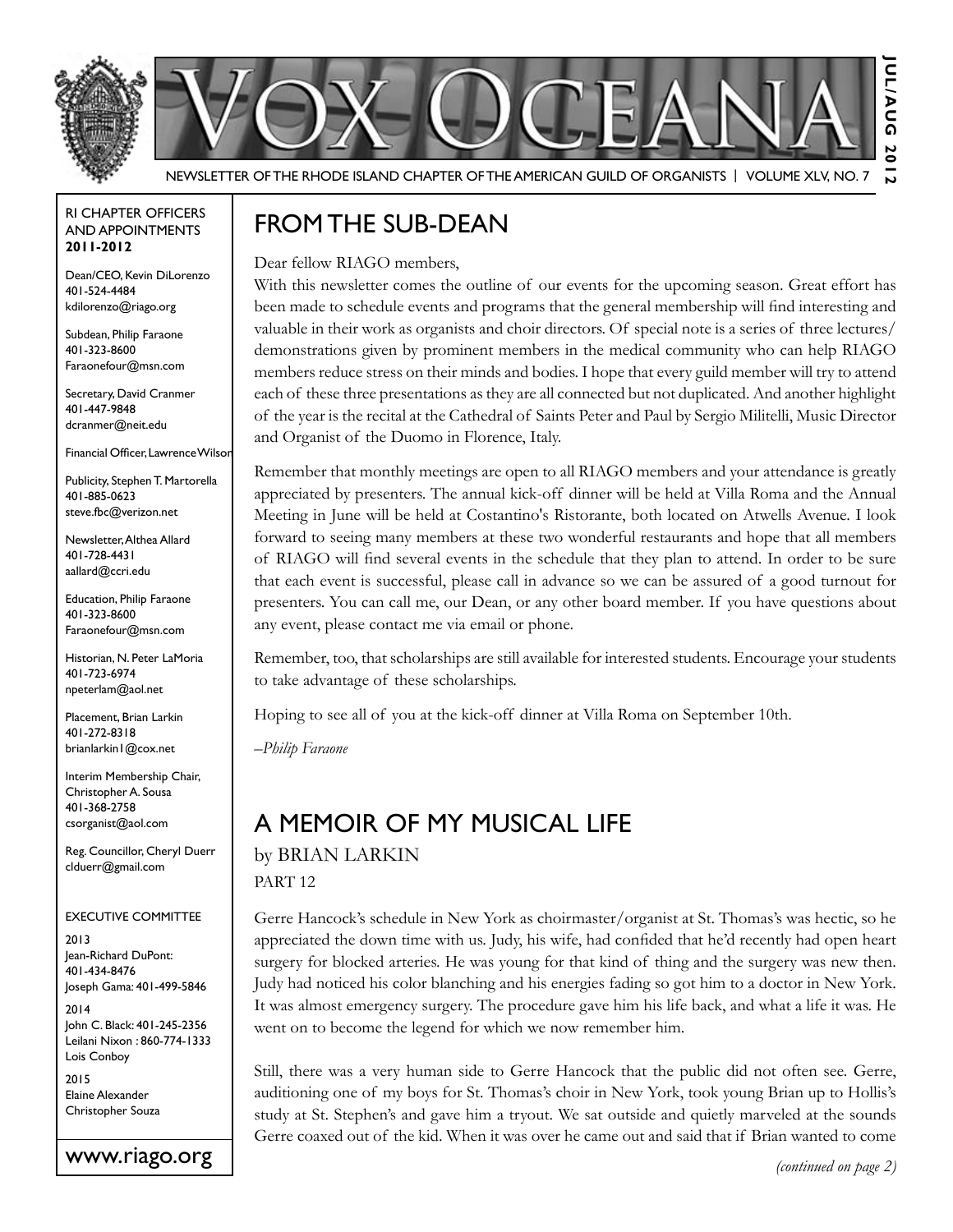



Newsletter of the Rhode Island Chapter of the American Guild of OrganistS | Volume XLV, No. 7

#### RI Chapter Officers and Appointments **2011-2012**

Dean/CEO, Kevin DiLorenzo 401-524-4484 kdilorenzo@riago.org

Subdean, Philip Faraone 401-323-8600 Faraonefour@msn.com

Secretary, David Cranmer 401-447-9848 dcranmer@neit.edu

Financial Officer, Lawrence Wilson

Publicity, Stephen T. Martorella 401-885-0623 steve.fbc@verizon.net

Newsletter, Althea Allard 401-728-4431 aallard@ccri.edu

Education, Philip Faraone 401-323-8600 Faraonefour@msn.com

Historian, N. Peter LaMoria 401-723-6974 npeterlam@aol.net

Placement, Brian Larkin 401-272-8318 brianlarkin1@cox.net

Interim Membership Chair, Christopher A. Sousa 401-368-2758 csorganist@aol.com

Reg. Councillor, Cheryl Duerr clduerr@gmail.com

#### Executive Committee

2013 Jean-Richard DuPont: 401-434-8476 Joseph Gama: 401-499-5846

2014 John C. Black: 401-245-2356 Leilani Nixon : 860-774-1333 Lois Conboy

2015 Elaine Alexander Christopher Souza



## From the Sub-Dean

Dear fellow RIAGO members,

With this newsletter comes the outline of our events for the upcoming season. Great effort has been made to schedule events and programs that the general membership will find interesting and valuable in their work as organists and choir directors. Of special note is a series of three lectures/ demonstrations given by prominent members in the medical community who can help RIAGO members reduce stress on their minds and bodies. I hope that every guild member will try to attend each of these three presentations as they are all connected but not duplicated. And another highlight of the year is the recital at the Cathedral of Saints Peter and Paul by Sergio Militelli, Music Director and Organist of the Duomo in Florence, Italy.

Remember that monthly meetings are open to all RIAGO members and your attendance is greatly appreciated by presenters. The annual kick-off dinner will be held at Villa Roma and the Annual Meeting in June will be held at Costantino's Ristorante, both located on Atwells Avenue. I look forward to seeing many members at these two wonderful restaurants and hope that all members of RIAGO will find several events in the schedule that they plan to attend. In order to be sure that each event is successful, please call in advance so we can be assured of a good turnout for presenters. You can call me, our Dean, or any other board member. If you have questions about any event, please contact me via email or phone.

Remember, too, that scholarships are still available for interested students. Encourage your students to take advantage of these scholarships.

Hoping to see all of you at the kick-off dinner at Villa Roma on September 10th.

–*Philip Faraone*

# A Memoir of My Musical Life

by Brian Larkin PART 12

Gerre Hancock's schedule in New York as choirmaster/organist at St. Thomas's was hectic, so he appreciated the down time with us. Judy, his wife, had confided that he'd recently had open heart surgery for blocked arteries. He was young for that kind of thing and the surgery was new then. Judy had noticed his color blanching and his energies fading so got him to a doctor in New York. It was almost emergency surgery. The procedure gave him his life back, and what a life it was. He went on to become the legend for which we now remember him.

Still, there was a very human side to Gerre Hancock that the public did not often see. Gerre, auditioning one of my boys for St. Thomas's choir in New York, took young Brian up to Hollis's study at St. Stephen's and gave him a tryout. We sat outside and quietly marveled at the sounds Gerre coaxed out of the kid. When it was over he came out and said that if Brian wanted to come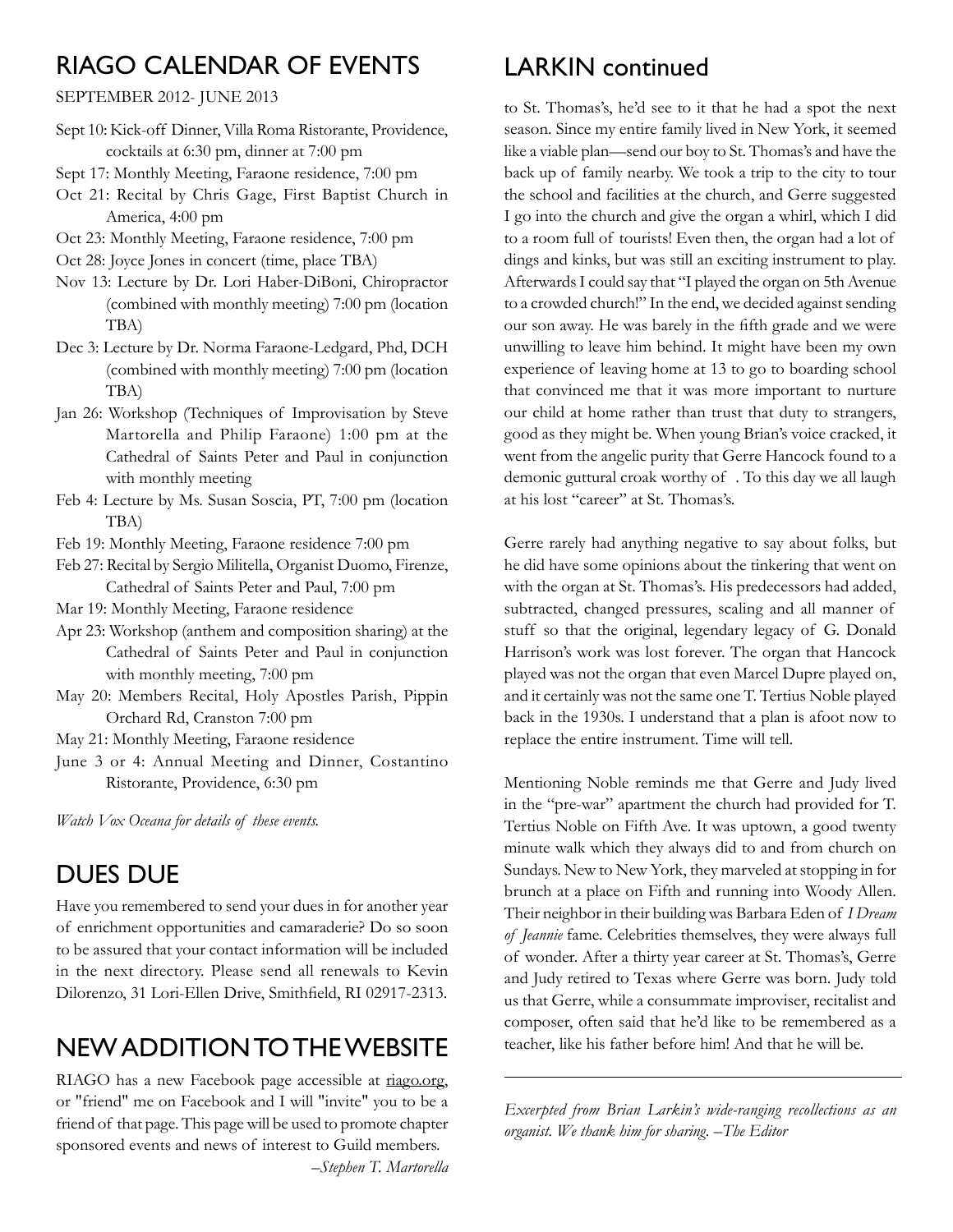## RIAGO Calendar of Events

#### September 2012- June 2013

- Sept 10: Kick-off Dinner, Villa Roma Ristorante, Providence, cocktails at 6:30 pm, dinner at 7:00 pm
- Sept 17: Monthly Meeting, Faraone residence, 7:00 pm
- Oct 21: Recital by Chris Gage, First Baptist Church in America, 4:00 pm
- Oct 23: Monthly Meeting, Faraone residence, 7:00 pm
- Oct 28: Joyce Jones in concert (time, place TBA)
- Nov 13: Lecture by Dr. Lori Haber-DiBoni, Chiropractor (combined with monthly meeting) 7:00 pm (location TBA)
- Dec 3: Lecture by Dr. Norma Faraone-Ledgard, Phd, DCH (combined with monthly meeting) 7:00 pm (location TBA)
- Jan 26: Workshop (Techniques of Improvisation by Steve Martorella and Philip Faraone) 1:00 pm at the Cathedral of Saints Peter and Paul in conjunction with monthly meeting
- Feb 4: Lecture by Ms. Susan Soscia, PT, 7:00 pm (location TBA)
- Feb 19: Monthly Meeting, Faraone residence 7:00 pm
- Feb 27: Recital by Sergio Militella, Organist Duomo, Firenze, Cathedral of Saints Peter and Paul, 7:00 pm
- Mar 19: Monthly Meeting, Faraone residence
- Apr 23: Workshop (anthem and composition sharing) at the Cathedral of Saints Peter and Paul in conjunction with monthly meeting, 7:00 pm
- May 20: Members Recital, Holy Apostles Parish, Pippin Orchard Rd, Cranston 7:00 pm
- May 21: Monthly Meeting, Faraone residence
- June 3 or 4: Annual Meeting and Dinner, Costantino Ristorante, Providence, 6:30 pm

*Watch Vox Oceana for details of these events.*

### Dues Due

Have you remembered to send your dues in for another year of enrichment opportunities and camaraderie? Do so soon to be assured that your contact information will be included in the next directory. Please send all renewals to Kevin Dilorenzo, 31 Lori-Ellen Drive, Smithfield, RI 02917-2313.

# New Addition to the Website

RIAGO has a new Facebook page accessible at riago.org, or "friend" me on Facebook and I will "invite" you to be a friend of that page. This page will be used to promote chapter sponsored events and news of interest to Guild members.

*–Stephen T. Martorella*

### LARKIN continued

to St. Thomas's, he'd see to it that he had a spot the next season. Since my entire family lived in New York, it seemed like a viable plan—send our boy to St. Thomas's and have the back up of family nearby. We took a trip to the city to tour the school and facilities at the church, and Gerre suggested I go into the church and give the organ a whirl, which I did to a room full of tourists! Even then, the organ had a lot of dings and kinks, but was still an exciting instrument to play. Afterwards I could say that "I played the organ on 5th Avenue to a crowded church!" In the end, we decided against sending our son away. He was barely in the fifth grade and we were unwilling to leave him behind. It might have been my own experience of leaving home at 13 to go to boarding school that convinced me that it was more important to nurture our child at home rather than trust that duty to strangers, good as they might be. When young Brian's voice cracked, it went from the angelic purity that Gerre Hancock found to a demonic guttural croak worthy of . To this day we all laugh at his lost "career" at St. Thomas's.

Gerre rarely had anything negative to say about folks, but he did have some opinions about the tinkering that went on with the organ at St. Thomas's. His predecessors had added, subtracted, changed pressures, scaling and all manner of stuff so that the original, legendary legacy of G. Donald Harrison's work was lost forever. The organ that Hancock played was not the organ that even Marcel Dupre played on, and it certainly was not the same one T. Tertius Noble played back in the 1930s. I understand that a plan is afoot now to replace the entire instrument. Time will tell.

Mentioning Noble reminds me that Gerre and Judy lived in the "pre-war" apartment the church had provided for T. Tertius Noble on Fifth Ave. It was uptown, a good twenty minute walk which they always did to and from church on Sundays. New to New York, they marveled at stopping in for brunch at a place on Fifth and running into Woody Allen. Their neighbor in their building was Barbara Eden of *I Dream of Jeannie* fame. Celebrities themselves, they were always full of wonder. After a thirty year career at St. Thomas's, Gerre and Judy retired to Texas where Gerre was born. Judy told us that Gerre, while a consummate improviser, recitalist and composer, often said that he'd like to be remembered as a teacher, like his father before him! And that he will be.

*Excerpted from Brian Larkin's wide-ranging recollections as an organist. We thank him for sharing. –The Editor*